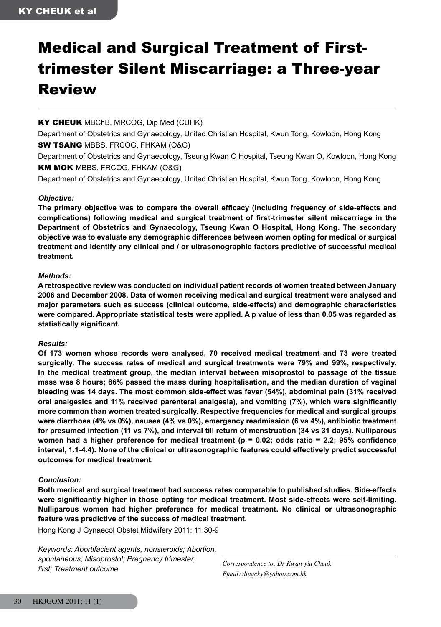# Medical and Surgical Treatment of Firsttrimester Silent Miscarriage: a Three-year Review

#### KY CHEUK MBChB, MRCOG, Dip Med (CUHK)

Department of Obstetrics and Gynaecology, United Christian Hospital, Kwun Tong, Kowloon, Hong Kong **SW TSANG MBBS, FRCOG, FHKAM (O&G)** 

Department of Obstetrics and Gynaecology, Tseung Kwan O Hospital, Tseung Kwan O, Kowloon, Hong Kong KM MOK MBBS, FRCOG, FHKAM (O&G)

Department of Obstetrics and Gynaecology, United Christian Hospital, Kwun Tong, Kowloon, Hong Kong

#### *Objective:*

**The primary objective was to compare the overall efficacy (including frequency of side-effects and complications) following medical and surgical treatment of first-trimester silent miscarriage in the Department of Obstetrics and Gynaecology, Tseung Kwan O Hospital, Hong Kong. The secondary objective was to evaluate any demographic differences between women opting for medical or surgical treatment and identify any clinical and / or ultrasonographic factors predictive of successful medical treatment.**

#### *Methods:*

**A retrospective review was conducted on individual patient records of women treated between January 2006 and December 2008. Data of women receiving medical and surgical treatment were analysed and major parameters such as success (clinical outcome, side-effects) and demographic characteristics were compared. Appropriate statistical tests were applied. A p value of less than 0.05 was regarded as statistically significant.**

#### *Results:*

**Of 173 women whose records were analysed, 70 received medical treatment and 73 were treated surgically. The success rates of medical and surgical treatments were 79% and 99%, respectively. In the medical treatment group, the median interval between misoprostol to passage of the tissue mass was 8 hours; 86% passed the mass during hospitalisation, and the median duration of vaginal bleeding was 14 days. The most common side-effect was fever (54%), abdominal pain (31% received oral analgesics and 11% received parenteral analgesia), and vomiting (7%), which were significantly more common than women treated surgically. Respective frequencies for medical and surgical groups were diarrhoea (4% vs 0%), nausea (4% vs 0%), emergency readmission (6 vs 4%), antibiotic treatment for presumed infection (11 vs 7%), and interval till return of menstruation (34 vs 31 days). Nulliparous women had a higher preference for medical treatment (p = 0.02; odds ratio = 2.2; 95% confidence interval, 1.1-4.4). None of the clinical or ultrasonographic features could effectively predict successful outcomes for medical treatment.**

#### *Conclusion:*

**Both medical and surgical treatment had success rates comparable to published studies. Side-effects were significantly higher in those opting for medical treatment. Most side-effects were self-limiting. Nulliparous women had higher preference for medical treatment. No clinical or ultrasonographic feature was predictive of the success of medical treatment.**

Hong Kong J Gynaecol Obstet Midwifery 2011; 11:30-9

*Keywords: Abortifacient agents, nonsteroids; Abortion, spontaneous; Misoprostol; Pregnancy trimester, first; Treatment outcome*

*Correspondence to: Dr Kwan-yiu Cheuk Email: dingcky@yahoo.com.hk*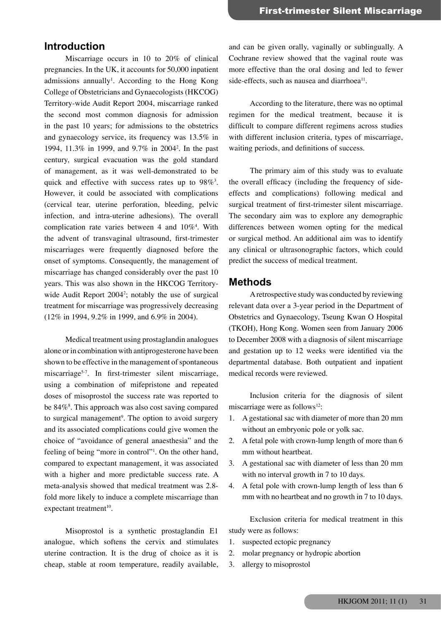# **Introduction**

 Miscarriage occurs in 10 to 20% of clinical pregnancies. In the UK, it accounts for 50,000 inpatient admissions annually<sup>1</sup>. According to the Hong Kong College of Obstetricians and Gynaecologists (HKCOG) Territory-wide Audit Report 2004, miscarriage ranked the second most common diagnosis for admission in the past 10 years; for admissions to the obstetrics and gynaecology service, its frequency was 13.5% in 1994, 11.3% in 1999, and 9.7% in 20042 . In the past century, surgical evacuation was the gold standard of management, as it was well-demonstrated to be quick and effective with success rates up to  $98\%$ <sup>3</sup>. However, it could be associated with complications (cervical tear, uterine perforation, bleeding, pelvic infection, and intra-uterine adhesions). The overall complication rate varies between 4 and  $10\%$ <sup>4</sup>. With the advent of transvaginal ultrasound, first-trimester miscarriages were frequently diagnosed before the onset of symptoms. Consequently, the management of miscarriage has changed considerably over the past 10 years. This was also shown in the HKCOG Territorywide Audit Report  $2004^2$ ; notably the use of surgical treatment for miscarriage was progressively decreasing (12% in 1994, 9.2% in 1999, and 6.9% in 2004).

 Medical treatment using prostaglandin analogues alone or in combination with antiprogesterone have been shown to be effective in the management of spontaneous miscarriage<sup>5-7</sup>. In first-trimester silent miscarriage, using a combination of mifepristone and repeated doses of misoprostol the success rate was reported to be 84%<sup>8</sup>. This approach was also cost saving compared to surgical management<sup>9</sup>. The option to avoid surgery and its associated complications could give women the choice of "avoidance of general anaesthesia" and the feeling of being "more in control"<sup>1</sup>. On the other hand, compared to expectant management, it was associated with a higher and more predictable success rate. A meta-analysis showed that medical treatment was 2.8 fold more likely to induce a complete miscarriage than expectant treatment $10$ .

 Misoprostol is a synthetic prostaglandin E1 analogue, which softens the cervix and stimulates uterine contraction. It is the drug of choice as it is cheap, stable at room temperature, readily available,

and can be given orally, vaginally or sublingually. A Cochrane review showed that the vaginal route was more effective than the oral dosing and led to fewer side-effects, such as nausea and diarrhoea $^{11}$ .

 According to the literature, there was no optimal regimen for the medical treatment, because it is difficult to compare different regimens across studies with different inclusion criteria, types of miscarriage, waiting periods, and definitions of success.

 The primary aim of this study was to evaluate the overall efficacy (including the frequency of sideeffects and complications) following medical and surgical treatment of first-trimester silent miscarriage. The secondary aim was to explore any demographic differences between women opting for the medical or surgical method. An additional aim was to identify any clinical or ultrasonographic factors, which could predict the success of medical treatment.

#### **Methods**

 Aretrospective study was conducted by reviewing relevant data over a 3-year period in the Department of Obstetrics and Gynaecology, Tseung Kwan O Hospital (TKOH), Hong Kong. Women seen from January 2006 to December 2008 with a diagnosis of silent miscarriage and gestation up to 12 weeks were identified via the departmental database. Both outpatient and inpatient medical records were reviewed.

 Inclusion criteria for the diagnosis of silent miscarriage were as follows<sup>12</sup>:

- 1. A gestational sac with diameter of more than 20 mm without an embryonic pole or yolk sac.
- 2. A fetal pole with crown-lump length of more than 6 mm without heartbeat.
- 3. A gestational sac with diameter of less than 20 mm with no interval growth in 7 to 10 days.
- 4. A fetal pole with crown-lump length of less than 6 mm with no heartbeat and no growth in 7 to 10 days.

 Exclusion criteria for medical treatment in this study were as follows:

- 1. suspected ectopic pregnancy
- 2. molar pregnancy or hydropic abortion
- 3. allergy to misoprostol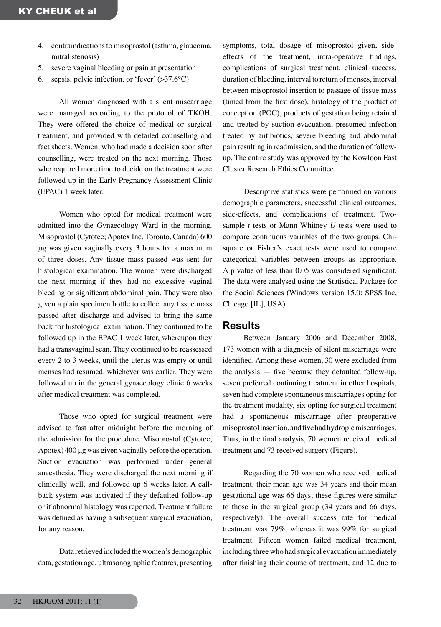- 4. contraindications to misoprostol (asthma, glaucoma, mitral stenosis)
- 5. severe vaginal bleeding or pain at presentation
- 6. sepsis, pelvic infection, or 'fever'  $(>37.6^{\circ}C)$

 All women diagnosed with a silent miscarriage were managed according to the protocol of TKOH. They were offered the choice of medical or surgical treatment, and provided with detailed counselling and fact sheets. Women, who had made a decision soon after counselling, were treated on the next morning. Those who required more time to decide on the treatment were followed up in the Early Pregnancy Assessment Clinic (EPAC) 1 week later.

 Women who opted for medical treatment were admitted into the Gynaecology Ward in the morning. Misoprostol (Cytotec;Apotex Inc, Toronto, Canada) 600 μg was given vaginally every 3 hours for a maximum of three doses. Any tissue mass passed was sent for histological examination. The women were discharged the next morning if they had no excessive vaginal bleeding or significant abdominal pain. They were also given a plain specimen bottle to collect any tissue mass passed after discharge and advised to bring the same back for histological examination. They continued to be followed up in the EPAC 1 week later, whereupon they had a transvaginal scan. They continued to be reassessed every 2 to 3 weeks, until the uterus was empty or until menses had resumed, whichever was earlier. They were followed up in the general gynaecology clinic 6 weeks after medical treatment was completed.

 Those who opted for surgical treatment were advised to fast after midnight before the morning of the admission for the procedure. Misoprostol (Cytotec; Apotex) 400 μg was given vaginally before the operation. Suction evacuation was performed under general anaesthesia. They were discharged the next morning if clinically well, and followed up 6 weeks later. A callback system was activated if they defaulted follow-up or if abnormal histology was reported. Treatment failure was defined as having a subsequent surgical evacuation, for any reason.

 Data retrieved included thewomen's demographic data, gestation age, ultrasonographic features, presenting symptoms, total dosage of misoprostol given, sideeffects of the treatment, intra-operative findings, complications of surgical treatment, clinical success, duration of bleeding, interval to return of menses, interval between misoprostol insertion to passage of tissue mass (timed from the first dose), histology of the product of conception (POC), products of gestation being retained and treated by suction evacuation, presumed infection treated by antibiotics, severe bleeding and abdominal pain resulting in readmission, and the duration of followup. The entire study was approved by the Kowloon East Cluster Research Ethics Committee.

 Descriptive statistics were performed on various demographic parameters, successful clinical outcomes, side-effects, and complications of treatment. Twosample *t* tests or Mann Whitney *U* tests were used to compare continuous variables of the two groups. Chisquare or Fisher's exact tests were used to compare categorical variables between groups as appropriate. A p value of less than 0.05 was considered significant. The data were analysed using the Statistical Package for the Social Sciences (Windows version 15.0; SPSS Inc, Chicago [IL], USA).

#### **Results**

 Between January 2006 and December 2008, 173 women with a diagnosis of silent miscarriage were identified. Among these women, 30 were excluded from the analysis — five because they defaulted follow-up, seven preferred continuing treatment in other hospitals, seven had complete spontaneous miscarriages opting for the treatment modality, six opting for surgical treatment had a spontaneous miscarriage after preoperative misoprostolinsertion,andfivehadhydropicmiscarriages. Thus, in the final analysis, 70 women received medical treatment and 73 received surgery (Figure).

 Regarding the 70 women who received medical treatment, their mean age was 34 years and their mean gestational age was 66 days; these figures were similar to those in the surgical group (34 years and 66 days, respectively). The overall success rate for medical treatment was 79%, whereas it was 99% for surgical treatment. Fifteen women failed medical treatment, including three who had surgical evacuation immediately after finishing their course of treatment, and 12 due to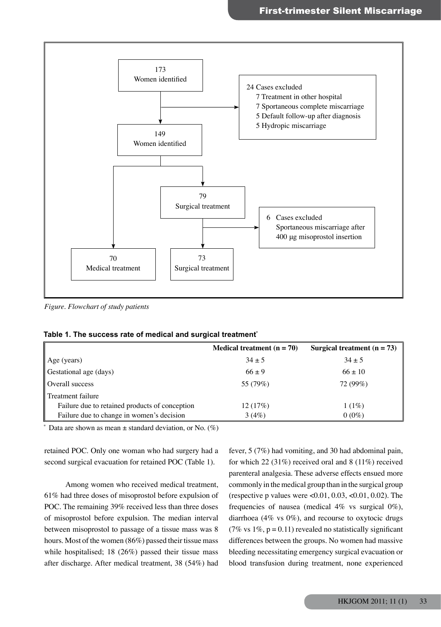

*Figure. Flowchart of study patients*

|                                                | <b>Medical treatment</b> $(n = 70)$ | Surgical treatment $(n = 73)$ |
|------------------------------------------------|-------------------------------------|-------------------------------|
| $\vert$ Age (years)                            | $34 \pm 5$                          | $34 \pm 5$                    |
| Gestational age (days)                         | $66 \pm 9$                          | $66 \pm 10$                   |
| Overall success                                | 55 (79%)                            | 72 (99%)                      |
| Treatment failure                              |                                     |                               |
| Failure due to retained products of conception | 12(17%)                             | $1(1\%)$                      |
| Failure due to change in women's decision      | 3(4%)                               | $0(0\%)$                      |

**Table 1. The success rate of medical and surgical treatment\***

\* Data are shown as mean  $\pm$  standard deviation, or No. (%)

retained POC. Only one woman who had surgery had a second surgical evacuation for retained POC (Table 1).

 Among women who received medical treatment, 61% had three doses of misoprostol before expulsion of POC. The remaining 39% received less than three doses of misoprostol before expulsion. The median interval between misoprostol to passage of a tissue mass was 8 hours. Most of the women (86%) passed their tissue mass while hospitalised; 18 (26%) passed their tissue mass after discharge. After medical treatment, 38 (54%) had

fever, 5 (7%) had vomiting, and 30 had abdominal pain, for which 22 (31%) received oral and 8 (11%) received parenteral analgesia. These adverse effects ensued more commonly in themedical group than in the surgical group (respective p values were  $\leq 0.01, 0.03, \leq 0.01, 0.02$ ). The frequencies of nausea (medical 4% vs surgical 0%), diarrhoea (4% vs 0%), and recourse to oxytocic drugs (7% vs  $1\%$ , p = 0.11) revealed no statistically significant differences between the groups. No women had massive bleeding necessitating emergency surgical evacuation or blood transfusion during treatment, none experienced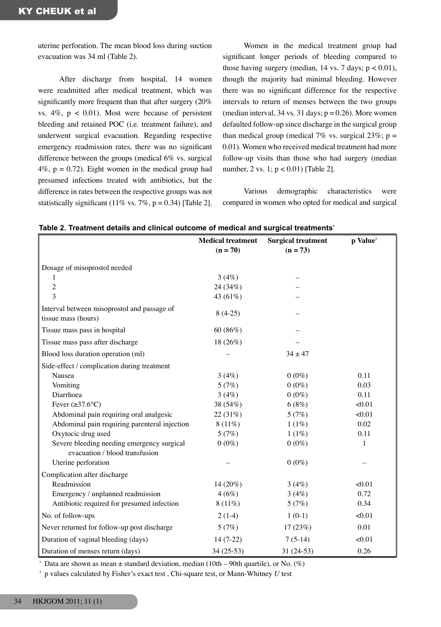uterine perforation. The mean blood loss during suction evacuation was 34 ml (Table 2).

 After discharge from hospital, 14 women were readmitted after medical treatment, which was significantly more frequent than that after surgery (20%) vs.  $4\%$ ,  $p < 0.01$ ). Most were because of persistent bleeding and retained POC (i.e. treatment failure), and underwent surgical evacuation. Regarding respective emergency readmission rates, there was no significant difference between the groups (medical 6% vs. surgical  $4\%$ ,  $p = 0.72$ ). Eight women in the medical group had presumed infections treated with antibiotics, but the difference in rates between the respective groups was not statistically significant (11% vs. 7%,  $p = 0.34$ ) [Table 2].

 Women in the medical treatment group had significant longer periods of bleeding compared to those having surgery (median, 14 vs. 7 days;  $p < 0.01$ ), though the majority had minimal bleeding. However there was no significant difference for the respective intervals to return of menses between the two groups (median interval, 34 vs. 31 days;  $p = 0.26$ ). More women defaulted follow-up since discharge in the surgical group than medical group (medical 7% vs. surgical 23%;  $p =$ 0.01). Women who received medical treatment had more follow-up visits than those who had surgery (median number, 2 vs. 1; p < 0.01) [Table 2].

 Various demographic characteristics were compared in women who opted for medical and surgical

|                                                                              | abic 2. Treatment details and chincal outcome or medical and surgical treatments |                           |                      |  |
|------------------------------------------------------------------------------|----------------------------------------------------------------------------------|---------------------------|----------------------|--|
|                                                                              | <b>Medical treatment</b>                                                         | <b>Surgical treatment</b> | p Value <sup>†</sup> |  |
|                                                                              | $(n = 70)$                                                                       | $(n = 73)$                |                      |  |
| Dosage of misoprostol needed                                                 |                                                                                  |                           |                      |  |
| 1                                                                            | 3(4%)                                                                            |                           |                      |  |
| $\overline{c}$                                                               | 24 (34%)                                                                         |                           |                      |  |
| 3                                                                            | 43 (61%)                                                                         |                           |                      |  |
| Interval between misoprostol and passage of<br>tissue mass (hours)           | $8(4-25)$                                                                        |                           |                      |  |
| Tissue mass pass in hospital                                                 | 60(86%)                                                                          |                           |                      |  |
| Tissue mass pass after discharge                                             | 18 (26%)                                                                         |                           |                      |  |
| Blood loss duration operation (ml)                                           |                                                                                  | $34 \pm 47$               |                      |  |
| Side-effect / complication during treatment                                  |                                                                                  |                           |                      |  |
| Nausea                                                                       | 3(4%)                                                                            | $0(0\%)$                  | 0.11                 |  |
| Vomiting                                                                     | 5(7%)                                                                            | $0(0\%)$                  | 0.03                 |  |
| Diarrhoea                                                                    | 3(4%)                                                                            | $0(0\%)$                  | 0.11                 |  |
| Fever $(\geq 37.6^{\circ}C)$                                                 | 38 (54%)                                                                         | 6(8%)                     | < 0.01               |  |
| Abdominal pain requiring oral analgesic                                      | 22 (31%)                                                                         | 5(7%)                     | < 0.01               |  |
| Abdominal pain requiring parenteral injection                                | $8(11\%)$                                                                        | 1(1%)                     | 0.02                 |  |
| Oxytocic drug used                                                           | 5(7%)                                                                            | 1(1%)                     | 0.11                 |  |
| Severe bleeding needing emergency surgical<br>evacuation / blood transfusion | $0(0\%)$                                                                         | $0(0\%)$                  | 1                    |  |
| Uterine perforation                                                          |                                                                                  | $0(0\%)$                  |                      |  |
| Complication after discharge                                                 |                                                                                  |                           |                      |  |
| Readmission                                                                  | 14 (20%)                                                                         | 3(4%)                     | < 0.01               |  |
| Emergency / unplanned readmission                                            | 4(6%)                                                                            | 3(4%)                     | 0.72                 |  |
| Antibiotic required for presumed infection                                   | $8(11\%)$                                                                        | 5(7%)                     | 0.34                 |  |
| No. of follow-ups                                                            | $2(1-4)$                                                                         | $1(0-1)$                  | < 0.01               |  |
| Never returned for follow-up post discharge                                  | 5(7%)                                                                            | 17(23%)                   | 0.01                 |  |
| Duration of vaginal bleeding (days)                                          | $14(7-22)$                                                                       | $7(5-14)$                 | < 0.01               |  |
| Duration of menses return (days)                                             | $34(25-53)$                                                                      | $31(24-53)$               | 0.26                 |  |

**Table 2. Treatment details and clinical outcome of medical and surgical treatments\***

\* Data are shown as mean  $\pm$  standard deviation, median (10th – 90th quartile), or No. (%)

† p values calculated by Fisher's exact test , Chi-square test, or Mann-Whitney *U* test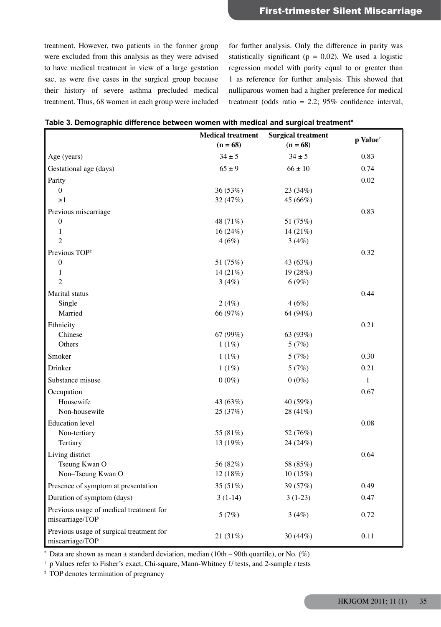treatment. However, two patients in the former group were excluded from this analysis as they were advised to have medical treatment in view of a large gestation sac, as were five cases in the surgical group because their history of severe asthma precluded medical treatment. Thus, 68 women in each group were included for further analysis. Only the difference in parity was statistically significant ( $p = 0.02$ ). We used a logistic regression model with parity equal to or greater than 1 as reference for further analysis. This showed that nulliparous women had a higher preference for medical treatment (odds ratio = 2.2; 95% confidence interval,

|                                                             | <b>Medical treatment</b><br>$(n = 68)$ | <b>Surgical treatment</b><br>$(n = 68)$ | p Value <sup>†</sup> |
|-------------------------------------------------------------|----------------------------------------|-----------------------------------------|----------------------|
| Age (years)                                                 | $34 \pm 5$                             | $34 \pm 5$                              | 0.83                 |
| Gestational age (days)                                      | $65 \pm 9$                             | $66 \pm 10$                             | 0.74                 |
| Parity                                                      |                                        |                                         | 0.02                 |
| $\mathbf{0}$                                                | 36 (53%)                               | 23 (34%)                                |                      |
| $\geq$ 1                                                    | 32 (47%)                               | 45 (66%)                                |                      |
| Previous miscarriage                                        |                                        |                                         | 0.83                 |
| $\boldsymbol{0}$                                            | 48 (71%)                               | 51 (75%)                                |                      |
| 1                                                           | 16(24%)                                | 14 $(21%)$                              |                      |
| 2                                                           | 4(6%)                                  | 3(4%)                                   |                      |
| Previous TOP#                                               |                                        |                                         | 0.32                 |
| $\boldsymbol{0}$                                            | 51 (75%)                               | 43 (63%)                                |                      |
| 1                                                           | 14 $(21%)$                             | 19 (28%)                                |                      |
| $\overline{2}$                                              | 3(4%)                                  | 6(9%)                                   |                      |
| Marital status                                              |                                        |                                         | 0.44                 |
| Single                                                      | 2(4%)                                  | 4(6%)                                   |                      |
| Married                                                     | 66 (97%)                               | 64 (94%)                                |                      |
| Ethnicity                                                   |                                        |                                         | 0.21                 |
| Chinese                                                     | 67 (99%)                               | 63 (93%)                                |                      |
| Others                                                      | 1(1%)                                  | 5(7%)                                   |                      |
| Smoker                                                      | 1(1%)                                  | 5(7%)                                   | 0.30                 |
| Drinker                                                     | 1(1%)                                  | 5(7%)                                   | 0.21                 |
| Substance misuse                                            | $0(0\%)$                               | $0(0\%)$                                | $\mathbf{1}$         |
| Occupation                                                  |                                        |                                         | 0.67                 |
| Housewife                                                   | 43 (63%)                               | 40 (59%)                                |                      |
| Non-housewife                                               | 25 (37%)                               | 28 (41%)                                |                      |
| <b>Education</b> level                                      |                                        |                                         | 0.08                 |
| Non-tertiary                                                | 55 (81%)                               | 52 (76%)                                |                      |
| Tertiary                                                    | 13 (19%)                               | 24 (24%)                                |                      |
| Living district                                             |                                        |                                         | 0.64                 |
| Tseung Kwan O                                               | 56 (82%)                               | 58 (85%)                                |                      |
| Non-Tseung Kwan O                                           | 12 (18%)                               | 10(15%)                                 |                      |
| Presence of symptom at presentation                         | 35 (51%)                               | 39 (57%)                                | 0.49                 |
| Duration of symptom (days)                                  | $3(1-14)$                              | $3(1-23)$                               | 0.47                 |
| Previous usage of medical treatment for<br>miscarriage/TOP  | 5(7%)                                  | 3(4%)                                   | 0.72                 |
| Previous usage of surgical treatment for<br>miscarriage/TOP | 21 (31%)                               | 30 (44%)                                | 0.11                 |

 $*$  Data are shown as mean  $\pm$  standard deviation, median (10th – 90th quartile), or No. (%)

† p Values refer to Fisher's exact, Chi-square, Mann-Whitney *U* tests, and 2-sample *t* tests

‡ TOP denotes termination of pregnancy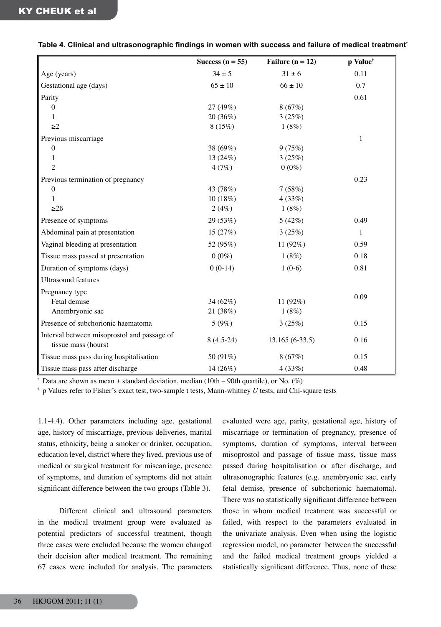#### **Table 4. Clinical and ultrasonographic findings in women with success and failure of medical treatment\***

|                                                                    | Success $(n = 55)$ | Failure ( $n = 12$ ) | p Value <sup>†</sup> |
|--------------------------------------------------------------------|--------------------|----------------------|----------------------|
| Age (years)                                                        | $34 \pm 5$         | $31 \pm 6$           | 0.11                 |
| Gestational age (days)                                             | $65 \pm 10$        | $66 \pm 10$          | 0.7                  |
| Parity                                                             |                    |                      | 0.61                 |
| $\theta$                                                           | 27 (49%)           | 8(67%)               |                      |
| $\mathbf{1}$                                                       | 20 (36%)           | 3(25%)               |                      |
| $\geq$ 2                                                           | 8(15%)             | 1(8%)                |                      |
| Previous miscarriage                                               |                    |                      | $\mathbf{1}$         |
| $\boldsymbol{0}$                                                   | 38 (69%)           | 9(75%)               |                      |
| 1                                                                  | 13(24%)            | 3(25%)               |                      |
| $\overline{c}$                                                     | 4(7%)              | $0(0\%)$             |                      |
| Previous termination of pregnancy                                  |                    |                      | 0.23                 |
| $\boldsymbol{0}$                                                   | 43 (78%)           | 7(58%)               |                      |
| 1                                                                  | 10(18%)            | 4(33%)               |                      |
| $\geq$ 2 $\beta$                                                   | 2(4%)              | 1(8%)                |                      |
| Presence of symptoms                                               | 29 (53%)           | 5(42%)               | 0.49                 |
| Abdominal pain at presentation                                     | 15(27%)            | 3(25%)               | $\mathbf{1}$         |
| Vaginal bleeding at presentation                                   | 52 (95%)           | 11 (92%)             | 0.59                 |
| Tissue mass passed at presentation                                 | $0(0\%)$           | 1(8%)                | 0.18                 |
| Duration of symptoms (days)                                        | $0(0-14)$          | $1(0-6)$             | 0.81                 |
| <b>Ultrasound features</b>                                         |                    |                      |                      |
| Pregnancy type                                                     |                    |                      | 0.09                 |
| Fetal demise                                                       | 34 (62%)           | 11 (92%)             |                      |
| Anembryonic sac                                                    | 21 (38%)           | 1(8%)                |                      |
| Presence of subchorionic haematoma                                 | 5(9%)              | 3(25%)               | 0.15                 |
| Interval between misoprostol and passage of<br>tissue mass (hours) | $8(4.5-24)$        | $13.165(6-33.5)$     | 0.16                 |
| Tissue mass pass during hospitalisation                            | 50 (91%)           | 8(67%)               | 0.15                 |
| Tissue mass pass after discharge                                   | 14 (26%)           | 4(33%)               | 0.48                 |

Data are shown as mean  $\pm$  standard deviation, median (10th – 90th quartile), or No. (%)

† p Values refer to Fisher's exact test, two-sample t tests, Mann-whitney *U* tests, and Chi-square tests

1.1-4.4). Other parameters including age, gestational age, history of miscarriage, previous deliveries, marital status, ethnicity, being a smoker or drinker, occupation, education level, district where they lived, previous use of medical or surgical treatment for miscarriage, presence of symptoms, and duration of symptoms did not attain significant difference between the two groups (Table 3).

 Different clinical and ultrasound parameters in the medical treatment group were evaluated as potential predictors of successful treatment, though three cases were excluded because the women changed their decision after medical treatment. The remaining 67 cases were included for analysis. The parameters

evaluated were age, parity, gestational age, history of miscarriage or termination of pregnancy, presence of symptoms, duration of symptoms, interval between misoprostol and passage of tissue mass, tissue mass passed during hospitalisation or after discharge, and ultrasonographic features (e.g. anembryonic sac, early fetal demise, presence of subchorionic haematoma). There was no statistically significant difference between those in whom medical treatment was successful or failed, with respect to the parameters evaluated in the univariate analysis. Even when using the logistic regression model, no parameter between the successful and the failed medical treatment groups yielded a statistically significant difference. Thus, none of these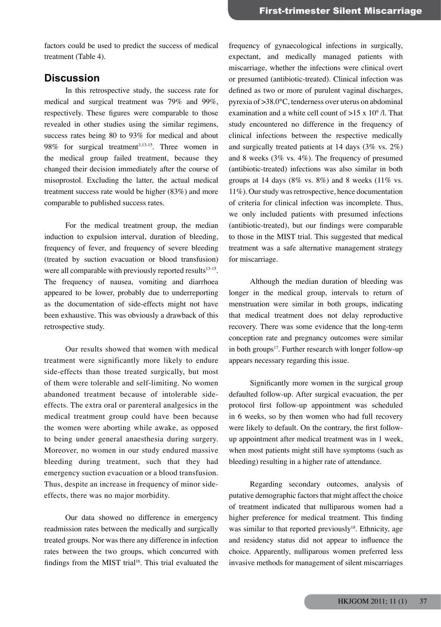factors could be used to predict the success of medical treatment (Table 4).

# **Discussion**

 In this retrospective study, the success rate for medical and surgical treatment was 79% and 99%, respectively. These figures were comparable to those revealed in other studies using the similar regimens, success rates being 80 to 93% for medical and about 98% for surgical treatment<sup>3,13-15</sup>. Three women in the medical group failed treatment, because they changed their decision immediately after the course of misoprostol. Excluding the latter, the actual medical treatment success rate would be higher (83%) and more comparable to published success rates.

 For the medical treatment group, the median induction to expulsion interval, duration of bleeding, frequency of fever, and frequency of severe bleeding (treated by suction evacuation or blood transfusion) were all comparable with previously reported results<sup>13-15</sup>. The frequency of nausea, vomiting and diarrhoea appeared to be lower, probably due to underreporting as the documentation of side-effects might not have been exhaustive. This was obviously a drawback of this retrospective study.

 Our results showed that women with medical treatment were significantly more likely to endure side-effects than those treated surgically, but most of them were tolerable and self-limiting. No women abandoned treatment because of intolerable sideeffects. The extra oral or parenteral analgesics in the medical treatment group could have been because the women were aborting while awake, as opposed to being under general anaesthesia during surgery. Moreover, no women in our study endured massive bleeding during treatment, such that they had emergency suction evacuation or a blood transfusion. Thus, despite an increase in frequency of minor sideeffects, there was no major morbidity.

 Our data showed no difference in emergency readmission rates between the medically and surgically treated groups. Nor was there any difference in infection rates between the two groups, which concurred with findings from the MIST trial<sup>16</sup>. This trial evaluated the

frequency of gynaecological infections in surgically, expectant, and medically managed patients with miscarriage, whether the infections were clinical overt or presumed (antibiotic-treated). Clinical infection was defined as two or more of purulent vaginal discharges, pyrexia of >38.0°C, tenderness over uterus on abdominal examination and a white cell count of  $>15 \times 10^9$  /l. That study encountered no difference in the frequency of clinical infections between the respective medically and surgically treated patients at 14 days (3% vs. 2%) and 8 weeks (3% vs. 4%). The frequency of presumed (antibiotic-treated) infections was also similar in both groups at 14 days (8% vs.  $8\%$ ) and 8 weeks (11% vs. 11%). Our study was retrospective, hence documentation of criteria for clinical infection was incomplete. Thus, we only included patients with presumed infections (antibiotic-treated), but our findings were comparable to those in the MIST trial. This suggested that medical treatment was a safe alternative management strategy for miscarriage.

 Although the median duration of bleeding was longer in the medical group, intervals to return of menstruation were similar in both groups, indicating that medical treatment does not delay reproductive recovery. There was some evidence that the long-term conception rate and pregnancy outcomes were similar in both groups<sup>17</sup>. Further research with longer follow-up appears necessary regarding this issue.

 Significantly more women in the surgical group defaulted follow-up. After surgical evacuation, the per protocol first follow-up appointment was scheduled in 6 weeks, so by then women who had full recovery were likely to default. On the contrary, the first followup appointment after medical treatment was in 1 week, when most patients might still have symptoms (such as bleeding) resulting in a higher rate of attendance.

 Regarding secondary outcomes, analysis of putative demographic factors that might affect the choice of treatment indicated that nulliparous women had a higher preference for medical treatment. This finding was similar to that reported previously<sup>18</sup>. Ethnicity, age and residency status did not appear to influence the choice. Apparently, nulliparous women preferred less invasive methods for management of silent miscarriages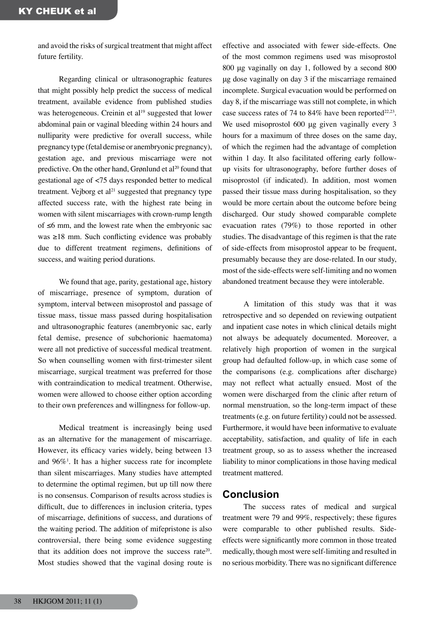and avoid the risks of surgical treatment that might affect future fertility.

 Regarding clinical or ultrasonographic features that might possibly help predict the success of medical treatment, available evidence from published studies was heterogeneous. Creinin et al<sup>19</sup> suggested that lower abdominal pain or vaginal bleeding within 24 hours and nulliparity were predictive for overall success, while pregnancy type (fetal demise or anembryonic pregnancy), gestation age, and previous miscarriage were not predictive. On the other hand, Grønlund et al<sup>20</sup> found that gestational age of <75 days responded better to medical treatment. Vejborg et  $al<sup>21</sup>$  suggested that pregnancy type affected success rate, with the highest rate being in women with silent miscarriages with crown-rump length of ≤6 mm, and the lowest rate when the embryonic sac was ≥18 mm. Such conflicting evidence was probably due to different treatment regimens, definitions of success, and waiting period durations.

 We found that age, parity, gestational age, history of miscarriage, presence of symptom, duration of symptom, interval between misoprostol and passage of tissue mass, tissue mass passed during hospitalisation and ultrasonographic features (anembryonic sac, early fetal demise, presence of subchorionic haematoma) were all not predictive of successful medical treatment. So when counselling women with first-trimester silent miscarriage, surgical treatment was preferred for those with contraindication to medical treatment. Otherwise, women were allowed to choose either option according to their own preferences and willingness for follow-up.

 Medical treatment is increasingly being used as an alternative for the management of miscarriage. However, its efficacy varies widely, being between 13 and 96%<sup>1</sup>. It has a higher success rate for incomplete than silent miscarriages. Many studies have attempted to determine the optimal regimen, but up till now there is no consensus. Comparison of results across studies is difficult, due to differences in inclusion criteria, types of miscarriage, definitions of success, and durations of the waiting period. The addition of mifepristone is also controversial, there being some evidence suggesting that its addition does not improve the success rate20. Most studies showed that the vaginal dosing route is

effective and associated with fewer side-effects. One of the most common regimens used was misoprostol 800 μg vaginally on day 1, followed by a second 800 μg dose vaginally on day 3 if the miscarriage remained incomplete. Surgical evacuation would be performed on day 8, if the miscarriage was still not complete, in which case success rates of 74 to 84% have been reported<sup>22,23</sup>. We used misoprostol 600 μg given vaginally every 3 hours for a maximum of three doses on the same day, of which the regimen had the advantage of completion within 1 day. It also facilitated offering early followup visits for ultrasonography, before further doses of misoprostol (if indicated). In addition, most women passed their tissue mass during hospitalisation, so they would be more certain about the outcome before being discharged. Our study showed comparable complete evacuation rates (79%) to those reported in other studies. The disadvantage of this regimen is that the rate of side-effects from misoprostol appear to be frequent, presumably because they are dose-related. In our study, most of the side-effects were self-limiting and no women abandoned treatment because they were intolerable.

 A limitation of this study was that it was retrospective and so depended on reviewing outpatient and inpatient case notes in which clinical details might not always be adequately documented. Moreover, a relatively high proportion of women in the surgical group had defaulted follow-up, in which case some of the comparisons (e.g. complications after discharge) may not reflect what actually ensued. Most of the women were discharged from the clinic after return of normal menstruation, so the long-term impact of these treatments (e.g. on future fertility) could not be assessed. Furthermore, it would have been informative to evaluate acceptability, satisfaction, and quality of life in each treatment group, so as to assess whether the increased liability to minor complications in those having medical treatment mattered.

### **Conclusion**

 The success rates of medical and surgical treatment were 79 and 99%, respectively; these figures were comparable to other published results. Sideeffects were significantly more common in those treated medically, though most were self-limiting and resulted in no serious morbidity. There was no significant difference